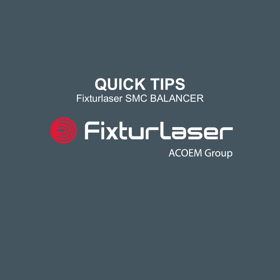# **QUICK TIPS** Fixturlaser SMC BALANCER

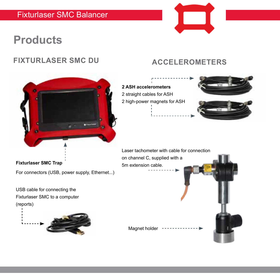# **Products**

### **FIXTURLASER SMC DU**

### **ACCELEROMETERS**

**2 ASH accelerometers** 2 straight cables for ASH 2 high-power magnets for ASH

Laser tachometer with cable for connection

### **Fixturlaser SMC Trap**

For connectors (USB, power supply, Ethernet...)

USB cable for connecting the Fixturlaser SMC to a computer (reports)







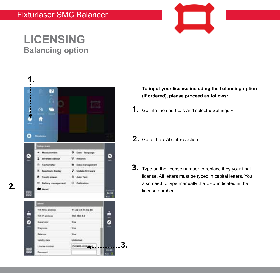

### **LICENSING Balancing option**



**To input your license including the balancing option (if ordered), please proceed as follows:**

- Go into the shortcuts and select « Settings » **1.**
- Go to the « About » section **2.**
- $\bf{3.}$  Type on the license number to replace it by your final license. All letters must be typed in capital letters. You also need to type manually the « - » indicated in the license number.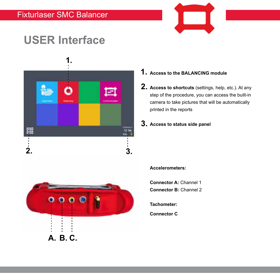

## **USER Interface**



### **Access to the BALANCING module 1.**

- **Access to shortcuts** (settings, help, etc.). At any **2.** step of the procedure, you can access the built-in camera to take pictures that will be automatically printed in the reports
- **Access to status side panel 3.**



#### **Accelerometers:**

**Connector A:** Channel 1 **Connector B:** Channel 2

**Tachometer:**

**Connector C**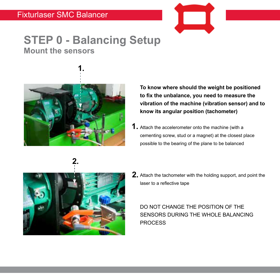

# **STEP 0 - Balancing Setup**

**Mount the sensors**



**1.**

**To know where should the weight be positioned to fix the unbalance, you need to measure the vibration of the machine (vibration sensor) and to know its angular position (tachometer)**

**1.** Attach the accelerometer onto the machine (with a cementing screw, stud or a magnet) at the closest place possible to the bearing of the plane to be balanced



Attach the tachometer with the holding support, and point the **2.**laser to a reflective tape

DO NOT CHANGE THE POSITION OF THE SENSORS DURING THE WHOLE BALANCING PROCESS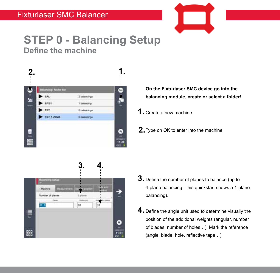

# **STEP 0 - Balancing Setup**

**Define the machine**



**On the Fixturlaser SMC device go into the balancing module, create or select a folder**!

- Create a new machine **1.**
- Type on OK to enter into the machine **2.**



- $\bf{3.}$  Define the number of planes to balance (up to 4-plane balancing - this quickstart shows a 1-plane balancing).
- $\boldsymbol{4}.$  Define the angle unit used to determine visually the position of the additional weights (angular, number of blades, number of holes…). Mark the reference (angle, blade, hole, reflective tape…)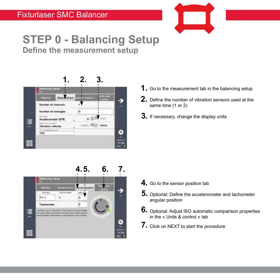

# **STEP 0 - Balancing Setup**

**Define the measurement setup**



- Go to the measurement tab in the balancing setup **1.**
- **2.** Define the number of vibration sensors used at the same time (1 or 2)
- $\bf{3.}$  If necessary, change the display units



- **4.** Go to the sensor position tab
- **5.** Optional: Define the accelerometer and tachometer angular position
- Optional: Adjust ISO automatic comparison properties **6.** Optional: Adjust ISO automa<br>in the « Units & control » tab
- **7.** Click on NEXT to start the procedure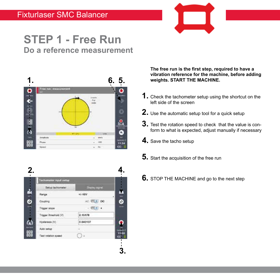

### **STEP 1 - Free Run Do a reference measurement**



**The free run is the first step, required to have a vibration reference for the machine, before adding weights. START THE MACHINE.**

- Check the tachometer setup using the shortcut on the **1.** left side of the screen
- $\mathbf 2.$  Use the automatic setup tool for a quick setup
- Test the rotation speed to check that the value is con-**3.** form to what is expected, adjust manually if necessary
- Save the tacho setup **4.**
- $\bf 5.$  Start the acquisition of the free run
- STOP THE MACHINE and go to the next step **6.**

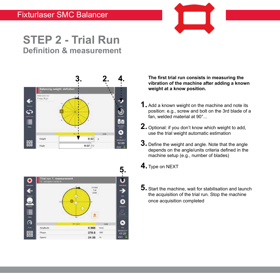

### **STEP 2 - Trial Run Definition & measurement**





**The first trial run consists in measuring the vibration of the machine after adding a known weight at a know position.**

- Add a known weight on the machine and note its **1.** position: e.g., screw and bolt on the 3rd blade of a fan, welded material at 90°...
- $2$ . Optional: if you don't know which weight to add, use the trial weight automatic estimation
- $\bf{3.}$  Define the weight and angle. Note that the angle depends on the angle/units criteria defined in the machine setup (e.g., number of blades)
- $\boldsymbol{4}$ . Type on NEXT
- $\mathbf 5.$  Start the machine, wait for stabilisation and launch the acquisition of the trial run. Stop the machine once acquisition completed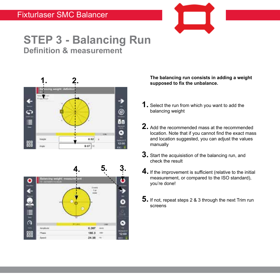

### **STEP 3 - Balancing Run Definition & measurement**





#### **The balancing run consists in adding a weight supposed to fix the unbalance.**

- Select the run from which you want to add the **1.** balancing weight
- Add the recommended mass at the recommended **2.** location. Note that if you cannot find the exact mass and location suggested, you can adjust the values manually
- $\bf{3.}$  Start the acquisistion of the balancing run, and check the result
- $\boldsymbol{4}.$  If the improvement is sufficient (relative to the initial measurement, or compared to the ISO standard), you're done!
- $\bf 5.$  If not, repeat steps 2 & 3 through the next Trim run screens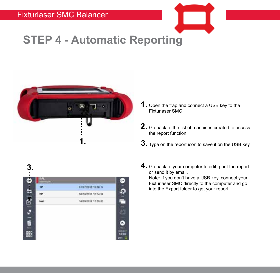# **STEP 4 - Automatic Reporting**



- **1.** Open the trap and connect a USB key to the Fixturlaser SMC
- Go back to the list of machines created to access **2.** the report function
- $\bf{3.}$  Type on the report icon to save it on the USB key



4. Go back to your computer to edit, print the report or send it by email. Note: If you don't have a USB key, connect your Fixturlaser SMC directly to the computer and go into the Export folder to get your report.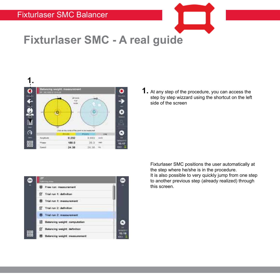



At any step of the procedure, you can access the **1.**step by step wizzard using the shortcut on the left side of the screen



Fixturlaser SMC positions the user automatically at the step where he/she is in the procedure. It is also possible to very quickly jump from one step to another previous step (already realized) through this screen.